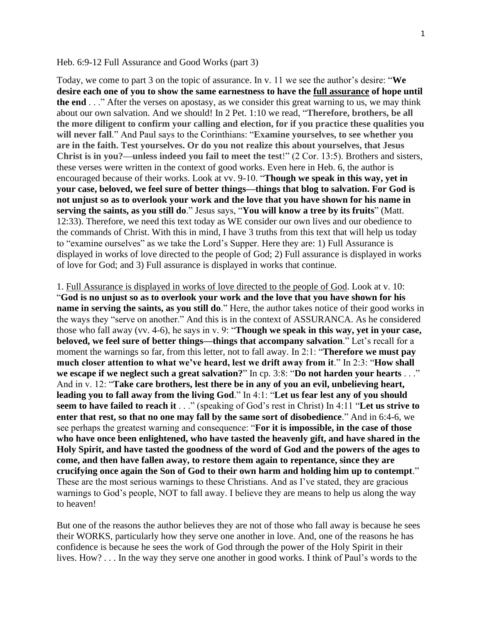## Heb. 6:9-12 Full Assurance and Good Works (part 3)

Today, we come to part 3 on the topic of assurance. In v. 11 we see the author's desire: "**We desire each one of you to show the same earnestness to have the full assurance of hope until the end** . . ." After the verses on apostasy, as we consider this great warning to us, we may think about our own salvation. And we should! In 2 Pet. 1:10 we read, "**Therefore, brothers, be all the more diligent to confirm your calling and election, for if you practice these qualities you will never fall**." And Paul says to the Corinthians: "**Examine yourselves, to see whether you are in the faith. Test yourselves. Or do you not realize this about yourselves, that Jesus Christ is in you?—unless indeed you fail to meet the test**!" (2 Cor. 13:5). Brothers and sisters, these verses were written in the context of good works. Even here in Heb. 6, the author is encouraged because of their works. Look at vv. 9-10. "**Though we speak in this way, yet in your case, beloved, we feel sure of better things—things that blog to salvation. For God is not unjust so as to overlook your work and the love that you have shown for his name in serving the saints, as you still do**." Jesus says, "**You will know a tree by its fruits**" (Matt. 12:33). Therefore, we need this text today as WE consider our own lives and our obedience to the commands of Christ. With this in mind, I have 3 truths from this text that will help us today to "examine ourselves" as we take the Lord's Supper. Here they are: 1) Full Assurance is displayed in works of love directed to the people of God; 2) Full assurance is displayed in works of love for God; and 3) Full assurance is displayed in works that continue.

1. Full Assurance is displayed in works of love directed to the people of God. Look at v. 10: "**God is no unjust so as to overlook your work and the love that you have shown for his name in serving the saints, as you still do**." Here, the author takes notice of their good works in the ways they "serve on another." And this is in the context of ASSURANCA. As he considered those who fall away (vv. 4-6), he says in v. 9: "**Though we speak in this way, yet in your case, beloved, we feel sure of better things—things that accompany salvation**." Let's recall for a moment the warnings so far, from this letter, not to fall away. In 2:1: "**Therefore we must pay much closer attention to what we've heard, lest we drift away from it**." In 2:3: "**How shall we escape if we neglect such a great salvation?**" In cp. 3:8: "**Do not harden your hearts** . . ." And in v. 12: "**Take care brothers, lest there be in any of you an evil, unbelieving heart, leading you to fall away from the living God**." In 4:1: "**Let us fear lest any of you should seem to have failed to reach it** . . ." (speaking of God's rest in Christ) In 4:11 "**Let us strive to enter that rest, so that no one may fall by the same sort of disobedience**." And in 6:4-6, we see perhaps the greatest warning and consequence: "**For it is impossible, in the case of those who have once been enlightened, who have tasted the heavenly gift, and have shared in the Holy Spirit, and have tasted the goodness of the word of God and the powers of the ages to come, and then have fallen away, to restore them again to repentance, since they are crucifying once again the Son of God to their own harm and holding him up to contempt**." These are the most serious warnings to these Christians. And as I've stated, they are gracious warnings to God's people, NOT to fall away. I believe they are means to help us along the way to heaven!

But one of the reasons the author believes they are not of those who fall away is because he sees their WORKS, particularly how they serve one another in love. And, one of the reasons he has confidence is because he sees the work of God through the power of the Holy Spirit in their lives. How? . . . In the way they serve one another in good works. I think of Paul's words to the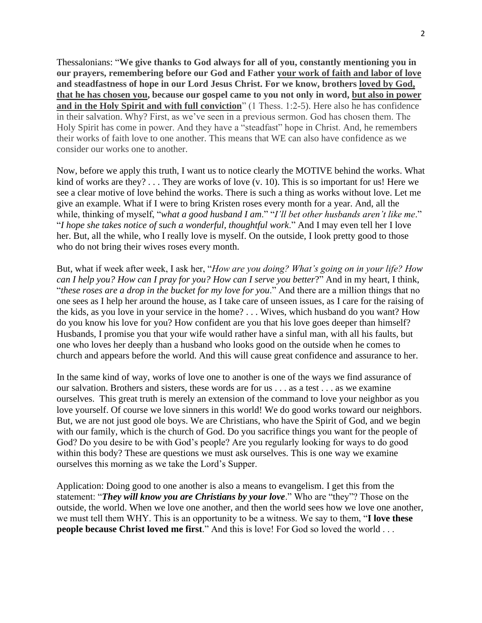Thessalonians: "**We give thanks to God always for all of you, constantly mentioning you in our prayers, remembering before our God and Father your work of faith and labor of love and steadfastness of hope in our Lord Jesus Christ. For we know, brothers loved by God, that he has chosen you, because our gospel came to you not only in word, but also in power and in the Holy Spirit and with full conviction**" (1 Thess. 1:2-5). Here also he has confidence in their salvation. Why? First, as we've seen in a previous sermon. God has chosen them. The Holy Spirit has come in power. And they have a "steadfast" hope in Christ. And, he remembers their works of faith love to one another. This means that WE can also have confidence as we consider our works one to another.

Now, before we apply this truth, I want us to notice clearly the MOTIVE behind the works. What kind of works are they? . . . They are works of love (v. 10). This is so important for us! Here we see a clear motive of love behind the works. There is such a thing as works without love. Let me give an example. What if I were to bring Kristen roses every month for a year. And, all the while, thinking of myself, "*what a good husband I am*." "*I'll bet other husbands aren't like me*." "*I hope she takes notice of such a wonderful, thoughtful work*." And I may even tell her I love her. But, all the while, who I really love is myself. On the outside, I look pretty good to those who do not bring their wives roses every month.

But, what if week after week, I ask her, "*How are you doing? What's going on in your life? How can I help you? How can I pray for you? How can I serve you better*?" And in my heart, I think, "*these roses are a drop in the bucket for my love for you*." And there are a million things that no one sees as I help her around the house, as I take care of unseen issues, as I care for the raising of the kids, as you love in your service in the home? . . . Wives, which husband do you want? How do you know his love for you? How confident are you that his love goes deeper than himself? Husbands, I promise you that your wife would rather have a sinful man, with all his faults, but one who loves her deeply than a husband who looks good on the outside when he comes to church and appears before the world. And this will cause great confidence and assurance to her.

In the same kind of way, works of love one to another is one of the ways we find assurance of our salvation. Brothers and sisters, these words are for us . . . as a test . . . as we examine ourselves. This great truth is merely an extension of the command to love your neighbor as you love yourself. Of course we love sinners in this world! We do good works toward our neighbors. But, we are not just good ole boys. We are Christians, who have the Spirit of God, and we begin with our family, which is the church of God. Do you sacrifice things you want for the people of God? Do you desire to be with God's people? Are you regularly looking for ways to do good within this body? These are questions we must ask ourselves. This is one way we examine ourselves this morning as we take the Lord's Supper.

Application: Doing good to one another is also a means to evangelism. I get this from the statement: "*They will know you are Christians by your love*." Who are "they"? Those on the outside, the world. When we love one another, and then the world sees how we love one another, we must tell them WHY. This is an opportunity to be a witness. We say to them, "**I love these people because Christ loved me first**." And this is love! For God so loved the world . . .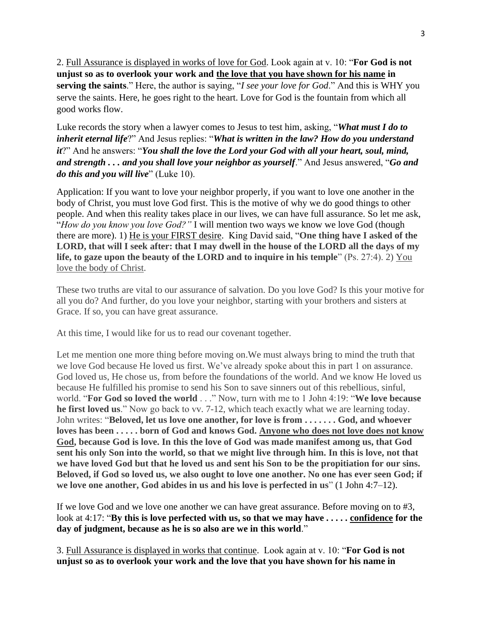2. Full Assurance is displayed in works of love for God. Look again at v. 10: "**For God is not unjust so as to overlook your work and the love that you have shown for his name in serving the saints**." Here, the author is saying, "*I see your love for God*." And this is WHY you serve the saints. Here, he goes right to the heart. Love for God is the fountain from which all good works flow.

Luke records the story when a lawyer comes to Jesus to test him, asking, "*What must I do to inherit eternal life*?" And Jesus replies: "*What is written in the law? How do you understand it*?" And he answers: "*You shall the love the Lord your God with all your heart, soul, mind, and strength . . . and you shall love your neighbor as yourself*." And Jesus answered, "*Go and do this and you will live*" (Luke 10).

Application: If you want to love your neighbor properly, if you want to love one another in the body of Christ, you must love God first. This is the motive of why we do good things to other people. And when this reality takes place in our lives, we can have full assurance. So let me ask, "*How do you know you love God?"* I will mention two ways we know we love God (though there are more). 1) He is your FIRST desire. King David said, "**One thing have I asked of the LORD, that will I seek after: that I may dwell in the house of the LORD all the days of my life, to gaze upon the beauty of the LORD and to inquire in his temple**" (Ps. 27:4). 2) You love the body of Christ.

These two truths are vital to our assurance of salvation. Do you love God? Is this your motive for all you do? And further, do you love your neighbor, starting with your brothers and sisters at Grace. If so, you can have great assurance.

At this time, I would like for us to read our covenant together.

Let me mention one more thing before moving on.We must always bring to mind the truth that we love God because He loved us first. We've already spoke about this in part 1 on assurance. God loved us, He chose us, from before the foundations of the world. And we know He loved us because He fulfilled his promise to send his Son to save sinners out of this rebellious, sinful, world. "**For God so loved the world** . . ." Now, turn with me to 1 John 4:19: "**We love because he first loved us**." Now go back to vv. 7-12, which teach exactly what we are learning today. John writes: "**Beloved, let us love one another, for love is from . . . . . . . God, and whoever loves has been . . . . . born of God and knows God. Anyone who does not love does not know God, because God is love. In this the love of God was made manifest among us, that God sent his only Son into the world, so that we might live through him. In this is love, not that we have loved God but that he loved us and sent his Son to be the propitiation for our sins. Beloved, if God so loved us, we also ought to love one another. No one has ever seen God; if we love one another, God abides in us and his love is perfected in us**" (1 John 4:7–12).

If we love God and we love one another we can have great assurance. Before moving on to #3, look at 4:17: "**By this is love perfected with us, so that we may have . . . . . confidence for the day of judgment, because as he is so also are we in this world**."

3. Full Assurance is displayed in works that continue. Look again at v. 10: "**For God is not unjust so as to overlook your work and the love that you have shown for his name in**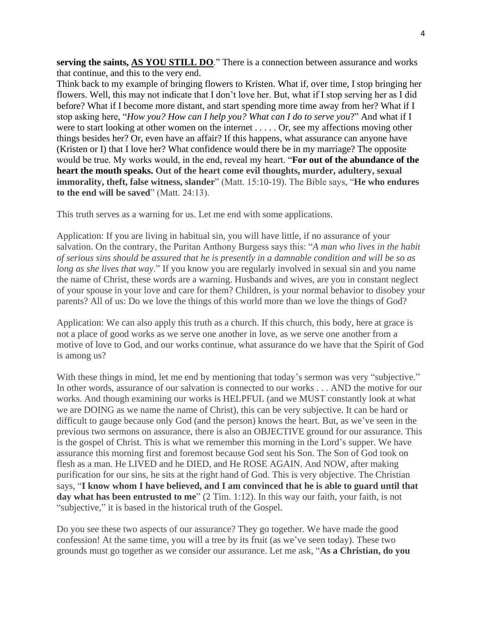**serving the saints, AS YOU STILL DO**." There is a connection between assurance and works that continue, and this to the very end.

Think back to my example of bringing flowers to Kristen. What if, over time, I stop bringing her flowers. Well, this may not indicate that I don't love her. But, what if I stop serving her as I did before? What if I become more distant, and start spending more time away from her? What if I stop asking here, "*How you? How can I help you? What can I do to serve you*?" And what if I were to start looking at other women on the internet . . . . . Or, see my affections moving other things besides her? Or, even have an affair? If this happens, what assurance can anyone have (Kristen or I) that I love her? What confidence would there be in my marriage? The opposite would be true. My works would, in the end, reveal my heart. "**For out of the abundance of the heart the mouth speaks. Out of the heart come evil thoughts, murder, adultery, sexual immorality, theft, false witness, slander**" (Matt. 15:10-19). The Bible says, "**He who endures to the end will be saved**" (Matt. 24:13).

This truth serves as a warning for us. Let me end with some applications.

Application: If you are living in habitual sin, you will have little, if no assurance of your salvation. On the contrary, the Puritan Anthony Burgess says this: "*A man who lives in the habit of serious sins should be assured that he is presently in a damnable condition and will be so as long as she lives that way*." If you know you are regularly involved in sexual sin and you name the name of Christ, these words are a warning. Husbands and wives, are you in constant neglect of your spouse in your love and care for them? Children, is your normal behavior to disobey your parents? All of us: Do we love the things of this world more than we love the things of God?

Application: We can also apply this truth as a church. If this church, this body, here at grace is not a place of good works as we serve one another in love, as we serve one another from a motive of love to God, and our works continue, what assurance do we have that the Spirit of God is among us?

With these things in mind, let me end by mentioning that today's sermon was very "subjective." In other words, assurance of our salvation is connected to our works . . . AND the motive for our works. And though examining our works is HELPFUL (and we MUST constantly look at what we are DOING as we name the name of Christ), this can be very subjective. It can be hard or difficult to gauge because only God (and the person) knows the heart. But, as we've seen in the previous two sermons on assurance, there is also an OBJECTIVE ground for our assurance. This is the gospel of Christ. This is what we remember this morning in the Lord's supper. We have assurance this morning first and foremost because God sent his Son. The Son of God took on flesh as a man. He LIVED and he DIED, and He ROSE AGAIN. And NOW, after making purification for our sins, he sits at the right hand of God. This is very objective. The Christian says, "**I know whom I have believed, and I am convinced that he is able to guard until that**  day what has been entrusted to me" (2 Tim. 1:12). In this way our faith, your faith, is not "subjective," it is based in the historical truth of the Gospel.

Do you see these two aspects of our assurance? They go together. We have made the good confession! At the same time, you will a tree by its fruit (as we've seen today). These two grounds must go together as we consider our assurance. Let me ask, "**As a Christian, do you**